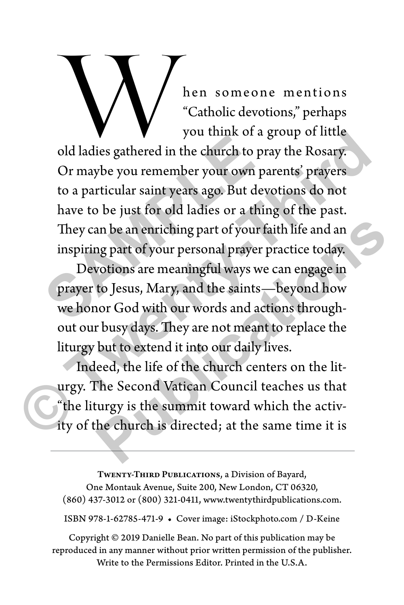Men someone mentions<br>
"Catholic devotions," perhaps<br>
you think of a group of little<br>
old ladies gathered in the church to pray the Rosary. "Catholic devotions," perhaps you think of a group of little

Or maybe you remember your own parents' prayers to a particular saint years ago. But devotions do not have to be just for old ladies or a thing of the past. They can be an enriching part of your faith life and an inspiring part of your personal prayer practice today. bod ladies gathered in the church to provide a particular saint years ago. But dev<br>to a particular saint years ago. But dev<br>have to be just for old ladies or a thin<br>They can be an enriching part of your fa<br>inspiring part o From the church to pray is the summit of a group of little<br>old ladies gathered in the church to pray the Rosary.<br>Or maybe you remember your own parents' prayers<br>to a particular saint years ago. But devotions do not<br>have to

Devotions are meaningful ways we can engage in prayer to Jesus, Mary, and the saints—beyond how we honor God with our words and actions throughout our busy days. They are not meant to replace the liturgy but to extend it into our daily lives. an be an enriching part of your faith life and an<br>rap part of your personal prayer practice today.<br>votions are meaningful ways we can engage in<br>to Jesus, Mary, and the saints—beyond how<br>or God with our words and actions th

Indeed, the life of the church centers on the liturgy. The Second Vatican Council teaches us that "the liturgy is the summit toward which the activity of the church is directed; at the same time it is

Twenty-Third Publications, a Division of Bayard, One Montauk Avenue, Suite 200, New London, CT 06320, (860) 437-3012 or (800) 321-0411, www.twentythirdpublications.com.

ISBN 978-1-62785-471-9 • Cover image: iStockphoto.com / D-Keine

Copyright © 2019 Danielle Bean. No part of this publication may be reproduced in any manner without prior written permission of the publisher. Write to the Permissions Editor. Printed in the U.S.A.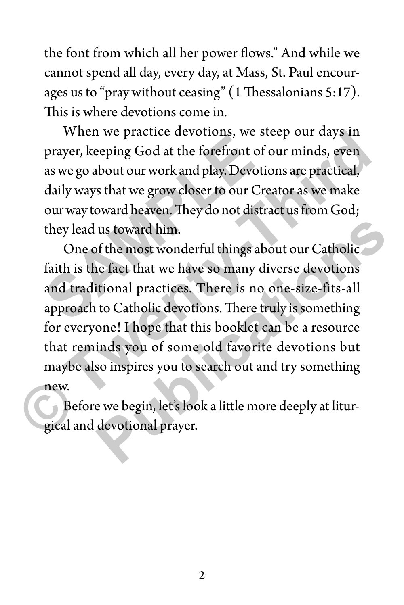the font from which all her power flows." And while we cannot spend all day, every day, at Mass, St. Paul encourages us to "pray without ceasing" (1 Thessalonians 5:17). This is where devotions come in.

When we practice devotions, we steep our days in prayer, keeping God at the forefront of our minds, even as we go about our work and play. Devotions are practical, daily ways that we grow closer to our Creator as we make our way toward heaven. They do not distract us from God; they lead us toward him. When we practice devotions, we see prayer, keeping God at the forefront of c<br>as we go about our work and play. Devotionally ways that we grow closer to our Cre<br>our way toward heaven. They do not distrate<br>they lead us towar

One of the most wonderful things about our Catholic faith is the fact that we have so many diverse devotions and traditional practices. There is no one-size-fits-all approach to Catholic devotions. There truly is something for everyone! I hope that this booklet can be a resource that reminds you of some old favorite devotions but maybe also inspires you to search out and try something new. When we practice devotions, we steep our days in<br>prayer, keeping God at the forefront of our minds, even<br>as we go about our work and play. Devotions are practical,<br>daily ways that we grow closer to our Creator as we make<br>o us toward him.<br>
of the most wonderful things about our Catholic<br>
ne fact that we have so many diverse devotions<br>
itional practices. There is no one-size-fits-all<br>
to Catholic devotions. There truly is something<br>
one! I hop

Before we begin, let's look a little more deeply at liturgical and devotional prayer.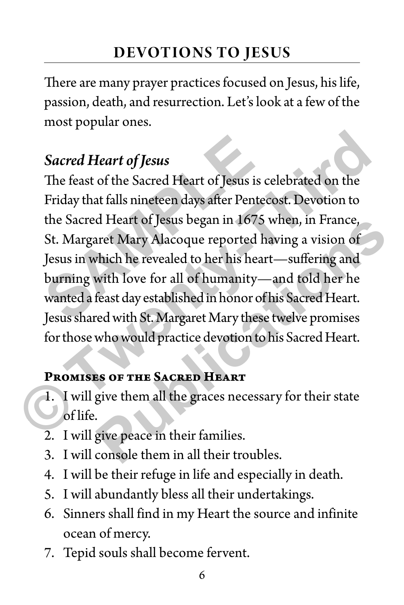There are many prayer practices focused on Jesus, his life, passion, death, and resurrection. Let's look at a few of the most popular ones.

# *Sacred Heart of Jesus*

The feast of the Sacred Heart of Jesus is celebrated on the Friday that falls nineteen days after Pentecost. Devotion to the Sacred Heart of Jesus began in 1675 when, in France, St. Margaret Mary Alacoque reported having a vision of Jesus in which he revealed to her his heart—suffering and burning with love for all of humanity—and told her he wanted a feast day established in honor of his Sacred Heart. Jesus shared with St. Margaret Mary these twelve promises for those who would practice devotion to his Sacred Heart. **Sacred Heart of Jesus**<br>The feast of the Sacred Heart of Jesus is c<br>Friday that falls nineteen days after Pentec<br>the Sacred Heart of Jesus began in 1675 v<br>St. Margaret Mary Alacoque reported ha<br>Jesus in which he revealed t **Sacred Heart of Jesus**<br>
The feast of the Sacred Heart of Jesus is celebrated on the<br>
Friday that falls nineteen days after Pentecost. Devotion to<br>
the Sacred Heart of Jesus began in 1675 when, in France,<br>
St. Margaret Mar **Publications** 

## **Promises of the Sacred Heart**

- 1. I will give them all the graces necessary for their state of life.
- 2. I will give peace in their families.
- 3. I will console them in all their troubles.
- 4. I will be their refuge in life and especially in death.
- 5. I will abundantly bless all their undertakings.
- 6. Sinners shall find in my Heart the source and infinite ocean of mercy.
- 7. Tepid souls shall become fervent.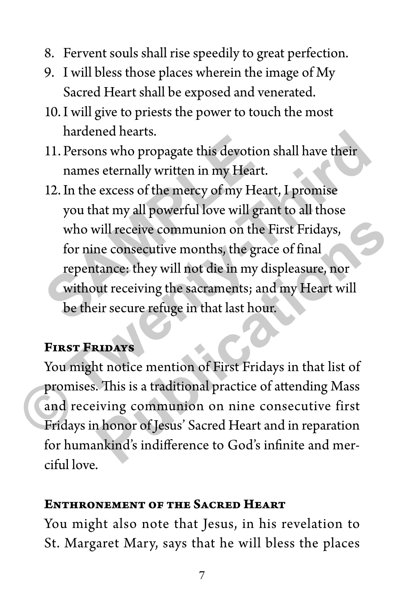- 8. Fervent souls shall rise speedily to great perfection.
- 9. I will bless those places wherein the image of My Sacred Heart shall be exposed and venerated.
- 10.I will give to priests the power to touch the most hardened hearts.
- 11. Persons who propagate this devotion shall have their names eternally written in my Heart.
- 12.In the excess of the mercy of my Heart, I promise you that my all powerful love will grant to all those who will receive communion on the First Fridays, for nine consecutive months, the grace of final repentance: they will not die in my displeasure, nor without receiving the sacraments; and my Heart will be their secure refuge in that last hour. 11. Persons who propagate this devotion<br>names eternally written in my Heart.<br>12. In the excess of the mercy of my Heart.<br>you that my all powerful love will gra<br>who will receive communion on the l<br>for nine consecutive month Fractional Matter of Bernard Control and Technical Sacred Heart And Technics of the Mercian Streets of the mercy of my Heart.<br>
12. In the excess of the mercy of my Heart, I promise<br>
you that my all powerful love will grant

### **First Fridays**

You might notice mention of First Fridays in that list of promises. This is a traditional practice of attending Mass and receiving communion on nine consecutive first Fridays in honor of Jesus' Sacred Heart and in reparation for humankind's indifference to God's infinite and merciful love. will receive communion on the First Fridays,<br>ne consecutive months, the grace of final<br>tance: they will not die in my displeasure, nor<br>ut receiving the sacraments; and my Heart will<br>eir secure refuge in that last hour.<br>**RI** 

#### **Enthronement of the Sacred Heart**

You might also note that Jesus, in his revelation to St. Margaret Mary, says that he will bless the places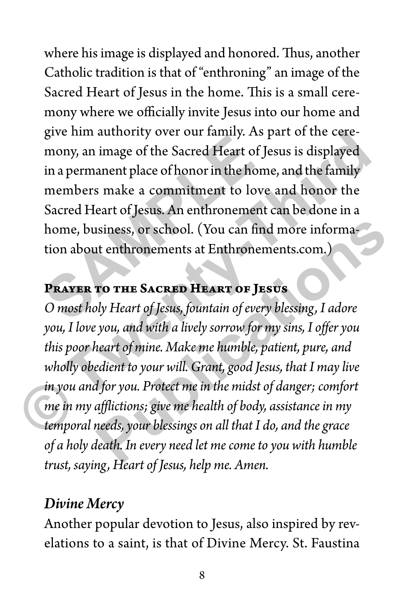where his image is displayed and honored. Thus, another Catholic tradition is that of "enthroning" an image of the Sacred Heart of Jesus in the home. This is a small ceremony where we officially invite Jesus into our home and give him authority over our family. As part of the ceremony, an image of the Sacred Heart of Jesus is displayed in a permanent place of honor in the home, and the family members make a commitment to love and honor the Sacred Heart of Jesus. An enthronement can be done in a home, business, or school. (You can find more information about enthronements at Enthronements.com.) give infinite difference of the Sacred Heart of Je<br>mony, an image of the Sacred Heart of Je<br>in a permanent place of honor in the hom<br>members make a commitment to love<br>Sacred Heart of Jesus. An enthronement<br>home, business,

### **Prayer to the Sacred Heart of Jesus**

*O most holy Heart of Jesus, fountain of every blessing, I adore you, I love you, and with a lively sorrow for my sins, I offer you this poor heart of mine. Make me humble, patient, pure, and wholly obedient to your will. Grant, good Jesus, that I may live in you and for you. Protect me in the midst of danger; comfort me in my afflictions; give me health of body, assistance in my temporal needs, your blessings on all that I do, and the grace of a holy death. In every need let me come to you with humble trust, saying, Heart of Jesus, help me. Amen.* give him authority over our tamily. As part of the ceremony, an image of the Sacred Heart of Jesus is displayed<br>in a permanent place of honor in the home, and the family<br>members make a commitment to love and honor the<br>Sacr **Example 18 Solution** Solutionary Mean Endiney<br>**Propertion** Solution Solution Service MEART OF JESUS<br>Apple Heart of Jesus, fountain of every blessing, I adore<br>you, and with a lively sorrow for my sins, I offer you<br>neart of

## *Divine Mercy*

Another popular devotion to Jesus, also inspired by revelations to a saint, is that of Divine Mercy. St. Faustina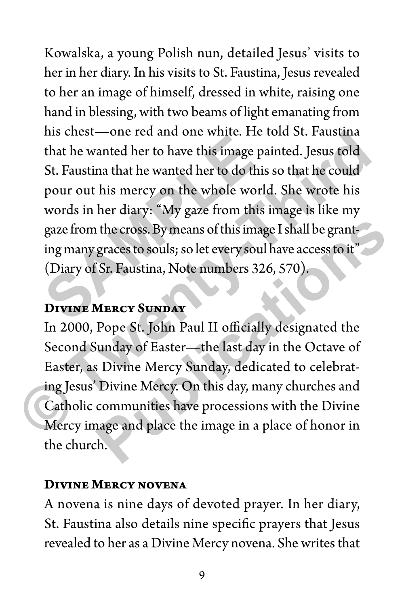Kowalska, a young Polish nun, detailed Jesus' visits to her in her diary. In his visits to St. Faustina, Jesus revealed to her an image of himself, dressed in white, raising one hand in blessing, with two beams of light emanating from his chest—one red and one white. He told St. Faustina that he wanted her to have this image painted. Jesus told St. Faustina that he wanted her to do this so that he could pour out his mercy on the whole world. She wrote his words in her diary: "My gaze from this image is like my gaze from the cross. By means of this image I shall be granting many graces to souls; so let every soul have access to it" (Diary of Sr. Faustina, Note numbers 326, 570). that he wanted her to have this image pa<br>St. Faustina that he wanted her to do this<br>pour out his mercy on the whole world<br>words in her diary: "My gaze from this igaze from the cross. By means of this image<br>ing many graces Ins chest—one red and one white. He told St. Faustina<br>that he wanted her to have this image painted. Jesus told<br>St. Faustina that he wanted her to do this so that he could<br>pour out his mercy on the whole world. She wrote h

#### **Divine Mercy Sunday**

In 2000, Pope St. John Paul II officially designated the Second Sunday of Easter—the last day in the Octave of Easter, as Divine Mercy Sunday, dedicated to celebrating Jesus' Divine Mercy. On this day, many churches and Catholic communities have processions with the Divine Mercy image and place the image in a place of honor in the church. **EXECTS BY MEATLE IS IMAGE IS NOTE ATTLE SET AND SET ASSES IN SURVEY SOULS:** So let every soul have access fo it"<br>
Sr. Faustina, Note numbers 326, 570).<br> **MERCY SUNDAY**<br>
Pope St. John Paul II officially designated the<br>
und

#### **Divine Mercy novena**

A novena is nine days of devoted prayer. In her diary, St. Faustina also details nine specific prayers that Jesus revealed to her as a Divine Mercy novena. She writes that